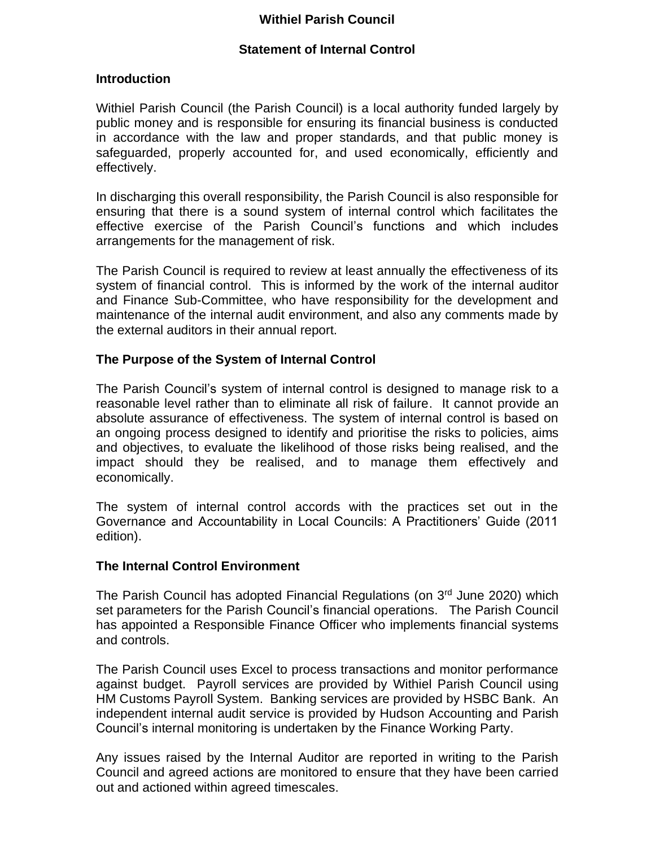## **Withiel Parish Council**

### **Statement of Internal Control**

#### **Introduction**

Withiel Parish Council (the Parish Council) is a local authority funded largely by public money and is responsible for ensuring its financial business is conducted in accordance with the law and proper standards, and that public money is safeguarded, properly accounted for, and used economically, efficiently and effectively.

In discharging this overall responsibility, the Parish Council is also responsible for ensuring that there is a sound system of internal control which facilitates the effective exercise of the Parish Council's functions and which includes arrangements for the management of risk.

The Parish Council is required to review at least annually the effectiveness of its system of financial control. This is informed by the work of the internal auditor and Finance Sub-Committee, who have responsibility for the development and maintenance of the internal audit environment, and also any comments made by the external auditors in their annual report.

#### **The Purpose of the System of Internal Control**

The Parish Council's system of internal control is designed to manage risk to a reasonable level rather than to eliminate all risk of failure. It cannot provide an absolute assurance of effectiveness. The system of internal control is based on an ongoing process designed to identify and prioritise the risks to policies, aims and objectives, to evaluate the likelihood of those risks being realised, and the impact should they be realised, and to manage them effectively and economically.

The system of internal control accords with the practices set out in the Governance and Accountability in Local Councils: A Practitioners' Guide (2011 edition).

#### **The Internal Control Environment**

The Parish Council has adopted Financial Regulations (on 3<sup>rd</sup> June 2020) which set parameters for the Parish Council's financial operations. The Parish Council has appointed a Responsible Finance Officer who implements financial systems and controls.

The Parish Council uses Excel to process transactions and monitor performance against budget. Payroll services are provided by Withiel Parish Council using HM Customs Payroll System. Banking services are provided by HSBC Bank. An independent internal audit service is provided by Hudson Accounting and Parish Council's internal monitoring is undertaken by the Finance Working Party.

Any issues raised by the Internal Auditor are reported in writing to the Parish Council and agreed actions are monitored to ensure that they have been carried out and actioned within agreed timescales.